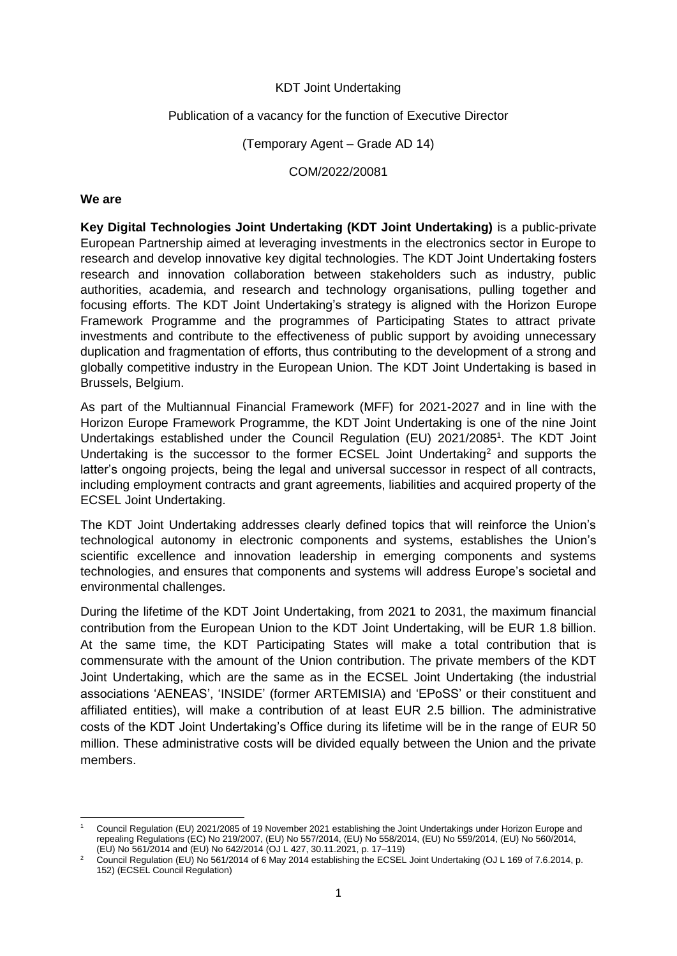### KDT Joint Undertaking

### Publication of a vacancy for the function of Executive Director

(Temporary Agent – Grade AD 14)

COM/2022/20081

#### **We are**

**Key Digital Technologies Joint Undertaking (KDT Joint Undertaking)** is a public-private European Partnership aimed at leveraging investments in the electronics sector in Europe to research and develop innovative key digital technologies. The KDT Joint Undertaking fosters research and innovation collaboration between stakeholders such as industry, public authorities, academia, and research and technology organisations, pulling together and focusing efforts. The KDT Joint Undertaking's strategy is aligned with the Horizon Europe Framework Programme and the programmes of Participating States to attract private investments and contribute to the effectiveness of public support by avoiding unnecessary duplication and fragmentation of efforts, thus contributing to the development of a strong and globally competitive industry in the European Union. The KDT Joint Undertaking is based in Brussels, Belgium.

As part of the Multiannual Financial Framework (MFF) for 2021-2027 and in line with the Horizon Europe Framework Programme, the KDT Joint Undertaking is one of the nine Joint Undertakings established under the Council Regulation (EU) 2021/2085<sup>1</sup>. The KDT Joint Undertaking is the successor to the former ECSEL Joint Undertaking<sup>2</sup> and supports the latter's ongoing projects, being the legal and universal successor in respect of all contracts, including employment contracts and grant agreements, liabilities and acquired property of the ECSEL Joint Undertaking.

The KDT Joint Undertaking addresses clearly defined topics that will reinforce the Union's technological autonomy in electronic components and systems, establishes the Union's scientific excellence and innovation leadership in emerging components and systems technologies, and ensures that components and systems will address Europe's societal and environmental challenges.

During the lifetime of the KDT Joint Undertaking, from 2021 to 2031, the maximum financial contribution from the European Union to the KDT Joint Undertaking, will be EUR 1.8 billion. At the same time, the KDT Participating States will make a total contribution that is commensurate with the amount of the Union contribution. The private members of the KDT Joint Undertaking, which are the same as in the ECSEL Joint Undertaking (the industrial associations 'AENEAS', 'INSIDE' (former ARTEMISIA) and 'EPoSS' or their constituent and affiliated entities), will make a contribution of at least EUR 2.5 billion. The administrative costs of the KDT Joint Undertaking's Office during its lifetime will be in the range of EUR 50 million. These administrative costs will be divided equally between the Union and the private members.

**<sup>.</sup>** <sup>1</sup> Council Regulation (EU) 2021/2085 of 19 November 2021 establishing the Joint Undertakings under Horizon Europe and repealing Regulations (EC) No 219/2007, (EU) No 557/2014, (EU) No 558/2014, (EU) No 559/2014, (EU) No 560/2014, (EU) No 561/2014 and (EU) No 642/2014 (OJ L 427, 30.11.2021, p. 17–119)

<sup>2</sup> Council Regulation (EU) No 561/2014 of 6 May 2014 establishing the ECSEL Joint Undertaking (OJ L 169 of 7.6.2014, p. 152) (ECSEL Council Regulation)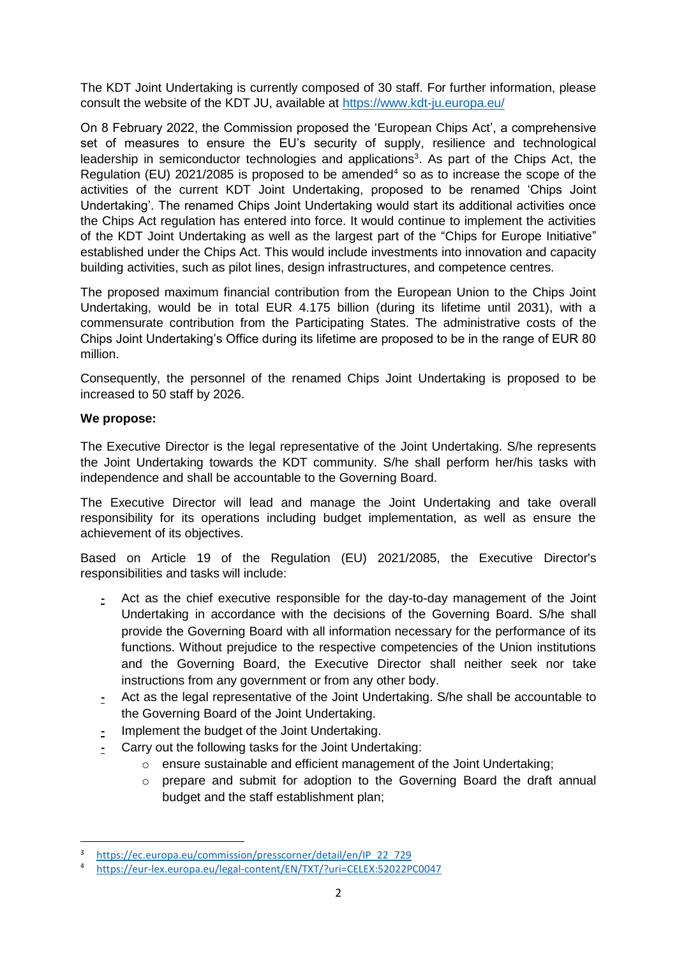The KDT Joint Undertaking is currently composed of 30 staff. For further information, please consult the website of the KDT JU, available at<https://www.kdt-ju.europa.eu/>

On 8 February 2022, the Commission proposed the 'European Chips Act', a comprehensive set of measures to ensure the EU's security of supply, resilience and technological leadership in semiconductor technologies and applications<sup>3</sup>. As part of the Chips Act, the Regulation (EU) 2021/2085 is proposed to be amended<sup>4</sup> so as to increase the scope of the activities of the current KDT Joint Undertaking, proposed to be renamed 'Chips Joint Undertaking'. The renamed Chips Joint Undertaking would start its additional activities once the Chips Act regulation has entered into force. It would continue to implement the activities of the KDT Joint Undertaking as well as the largest part of the "Chips for Europe Initiative" established under the Chips Act. This would include investments into innovation and capacity building activities, such as pilot lines, design infrastructures, and competence centres.

The proposed maximum financial contribution from the European Union to the Chips Joint Undertaking, would be in total EUR 4.175 billion (during its lifetime until 2031), with a commensurate contribution from the Participating States. The administrative costs of the Chips Joint Undertaking's Office during its lifetime are proposed to be in the range of EUR 80 million.

Consequently, the personnel of the renamed Chips Joint Undertaking is proposed to be increased to 50 staff by 2026.

# **We propose:**

**.** 

The Executive Director is the legal representative of the Joint Undertaking. S/he represents the Joint Undertaking towards the KDT community. S/he shall perform her/his tasks with independence and shall be accountable to the Governing Board.

The Executive Director will lead and manage the Joint Undertaking and take overall responsibility for its operations including budget implementation, as well as ensure the achievement of its objectives.

Based on Article 19 of the Regulation (EU) 2021/2085, the Executive Director's responsibilities and tasks will include:

- **-** Act as the chief executive responsible for the day-to-day management of the Joint Undertaking in accordance with the decisions of the Governing Board. S/he shall provide the Governing Board with all information necessary for the performance of its functions. Without prejudice to the respective competencies of the Union institutions and the Governing Board, the Executive Director shall neither seek nor take instructions from any government or from any other body.
- **-** Act as the legal representative of the Joint Undertaking. S/he shall be accountable to the Governing Board of the Joint Undertaking.
- **-** Implement the budget of the Joint Undertaking.
- **-** Carry out the following tasks for the Joint Undertaking:
	- o ensure sustainable and efficient management of the Joint Undertaking;
	- $\circ$  prepare and submit for adoption to the Governing Board the draft annual budget and the staff establishment plan;

<sup>3</sup> [https://ec.europa.eu/commission/presscorner/detail/en/IP\\_22\\_729](https://ec.europa.eu/commission/presscorner/detail/en/IP_22_729)

<sup>4</sup> <https://eur-lex.europa.eu/legal-content/EN/TXT/?uri=CELEX:52022PC0047>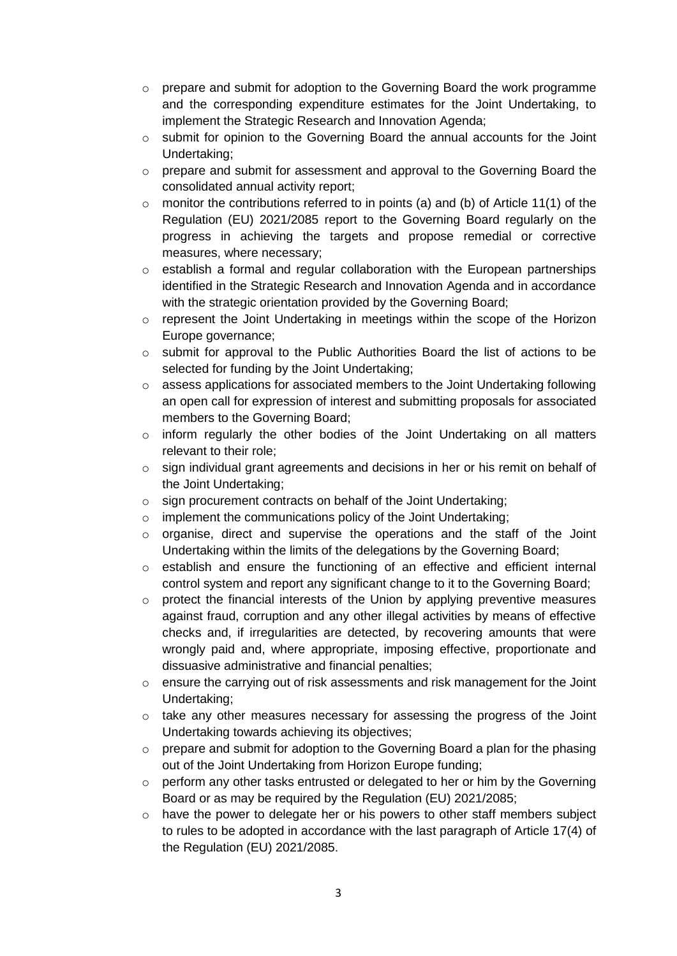- o prepare and submit for adoption to the Governing Board the work programme and the corresponding expenditure estimates for the Joint Undertaking, to implement the Strategic Research and Innovation Agenda;
- o submit for opinion to the Governing Board the annual accounts for the Joint Undertaking;
- o prepare and submit for assessment and approval to the Governing Board the consolidated annual activity report;
- $\circ$  monitor the contributions referred to in points (a) and (b) of Article 11(1) of the Regulation (EU) 2021/2085 report to the Governing Board regularly on the progress in achieving the targets and propose remedial or corrective measures, where necessary;
- $\circ$  establish a formal and regular collaboration with the European partnerships identified in the Strategic Research and Innovation Agenda and in accordance with the strategic orientation provided by the Governing Board;
- $\circ$  represent the Joint Undertaking in meetings within the scope of the Horizon Europe governance;
- o submit for approval to the Public Authorities Board the list of actions to be selected for funding by the Joint Undertaking;
- $\circ$  assess applications for associated members to the Joint Undertaking following an open call for expression of interest and submitting proposals for associated members to the Governing Board;
- o inform regularly the other bodies of the Joint Undertaking on all matters relevant to their role;
- $\circ$  sign individual grant agreements and decisions in her or his remit on behalf of the Joint Undertaking;
- o sign procurement contracts on behalf of the Joint Undertaking;
- o implement the communications policy of the Joint Undertaking;
- o organise, direct and supervise the operations and the staff of the Joint Undertaking within the limits of the delegations by the Governing Board;
- o establish and ensure the functioning of an effective and efficient internal control system and report any significant change to it to the Governing Board;
- $\circ$  protect the financial interests of the Union by applying preventive measures against fraud, corruption and any other illegal activities by means of effective checks and, if irregularities are detected, by recovering amounts that were wrongly paid and, where appropriate, imposing effective, proportionate and dissuasive administrative and financial penalties;
- o ensure the carrying out of risk assessments and risk management for the Joint Undertaking;
- o take any other measures necessary for assessing the progress of the Joint Undertaking towards achieving its objectives;
- $\circ$  prepare and submit for adoption to the Governing Board a plan for the phasing out of the Joint Undertaking from Horizon Europe funding;
- o perform any other tasks entrusted or delegated to her or him by the Governing Board or as may be required by the Regulation (EU) 2021/2085;
- $\circ$  have the power to delegate her or his powers to other staff members subject to rules to be adopted in accordance with the last paragraph of Article 17(4) of the Regulation (EU) 2021/2085.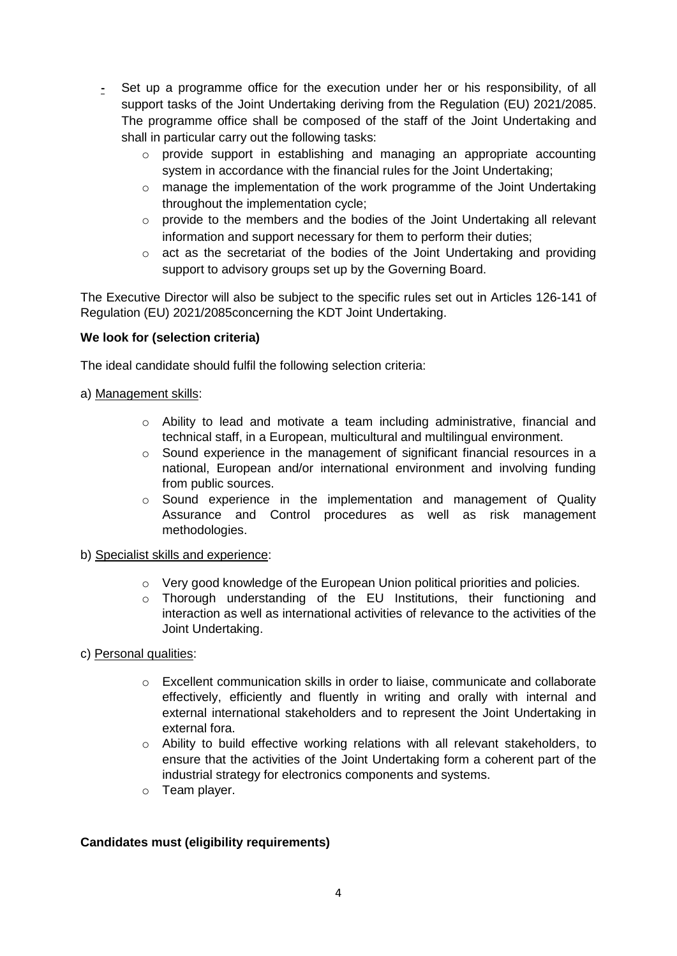- **-** Set up a programme office for the execution under her or his responsibility, of all support tasks of the Joint Undertaking deriving from the Regulation (EU) 2021/2085. The programme office shall be composed of the staff of the Joint Undertaking and shall in particular carry out the following tasks:
	- $\circ$  provide support in establishing and managing an appropriate accounting system in accordance with the financial rules for the Joint Undertaking;
	- $\circ$  manage the implementation of the work programme of the Joint Undertaking throughout the implementation cycle;
	- o provide to the members and the bodies of the Joint Undertaking all relevant information and support necessary for them to perform their duties;
	- $\circ$  act as the secretariat of the bodies of the Joint Undertaking and providing support to advisory groups set up by the Governing Board.

The Executive Director will also be subject to the specific rules set out in Articles 126-141 of Regulation (EU) 2021/2085concerning the KDT Joint Undertaking.

### **We look for (selection criteria)**

The ideal candidate should fulfil the following selection criteria:

### a) Management skills:

- o Ability to lead and motivate a team including administrative, financial and technical staff, in a European, multicultural and multilingual environment.
- o Sound experience in the management of significant financial resources in a national, European and/or international environment and involving funding from public sources.
- o Sound experience in the implementation and management of Quality Assurance and Control procedures as well as risk management methodologies.

### b) Specialist skills and experience:

- $\circ$  Very good knowledge of the European Union political priorities and policies.
- o Thorough understanding of the EU Institutions, their functioning and interaction as well as international activities of relevance to the activities of the Joint Undertaking.

# c) Personal qualities:

- $\circ$  Excellent communication skills in order to liaise, communicate and collaborate effectively, efficiently and fluently in writing and orally with internal and external international stakeholders and to represent the Joint Undertaking in external fora.
- o Ability to build effective working relations with all relevant stakeholders, to ensure that the activities of the Joint Undertaking form a coherent part of the industrial strategy for electronics components and systems.
- o Team player.

# **Candidates must (eligibility requirements)**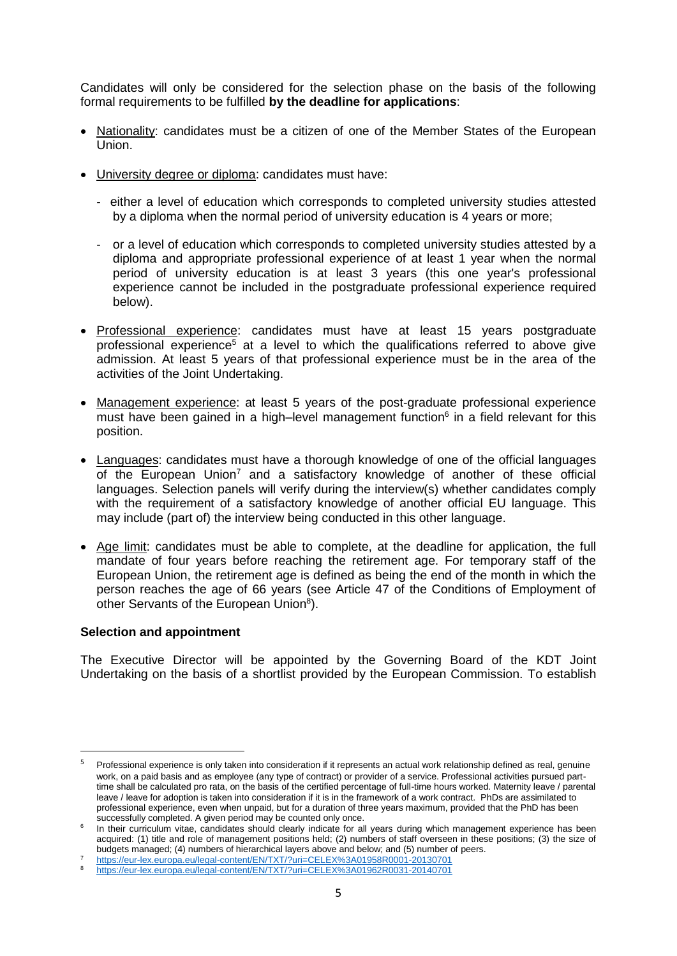Candidates will only be considered for the selection phase on the basis of the following formal requirements to be fulfilled **by the deadline for applications**:

- Nationality: candidates must be a citizen of one of the Member States of the European Union.
- University degree or diploma: candidates must have:
	- either a level of education which corresponds to completed university studies attested by a diploma when the normal period of university education is 4 years or more;
	- or a level of education which corresponds to completed university studies attested by a diploma and appropriate professional experience of at least 1 year when the normal period of university education is at least 3 years (this one year's professional experience cannot be included in the postgraduate professional experience required below).
- Professional experience: candidates must have at least 15 years postgraduate professional experience<sup>5</sup> at a level to which the qualifications referred to above give admission. At least 5 years of that professional experience must be in the area of the activities of the Joint Undertaking.
- Management experience: at least 5 years of the post-graduate professional experience must have been gained in a high-level management function $6$  in a field relevant for this position.
- Languages: candidates must have a thorough knowledge of one of the official languages of the European Union<sup>7</sup> and a satisfactory knowledge of another of these official languages. Selection panels will verify during the interview(s) whether candidates comply with the requirement of a satisfactory knowledge of another official EU language. This may include (part of) the interview being conducted in this other language.
- Age limit: candidates must be able to complete, at the deadline for application, the full mandate of four years before reaching the retirement age. For temporary staff of the European Union, the retirement age is defined as being the end of the month in which the person reaches the age of 66 years (see Article 47 of the Conditions of Employment of other Servants of the European Union<sup>8</sup>).

### **Selection and appointment**

**.** 

The Executive Director will be appointed by the Governing Board of the KDT Joint Undertaking on the basis of a shortlist provided by the European Commission. To establish

Professional experience is only taken into consideration if it represents an actual work relationship defined as real, genuine work, on a paid basis and as employee (any type of contract) or provider of a service. Professional activities pursued parttime shall be calculated pro rata, on the basis of the certified percentage of full-time hours worked. Maternity leave / parental leave / leave for adoption is taken into consideration if it is in the framework of a work contract. PhDs are assimilated to professional experience, even when unpaid, but for a duration of three years maximum, provided that the PhD has been successfully completed. A given period may be counted only once.

<sup>6</sup> In their curriculum vitae, candidates should clearly indicate for all years during which management experience has been acquired: (1) title and role of management positions held; (2) numbers of staff overseen in these positions; (3) the size of budgets managed; (4) numbers of hierarchical layers above and below; and (5) number of peers.

<sup>7</sup> <https://eur-lex.europa.eu/legal-content/EN/TXT/?uri=CELEX%3A01958R0001-20130701>

<https://eur-lex.europa.eu/legal-content/EN/TXT/?uri=CELEX%3A01962R0031-20140701>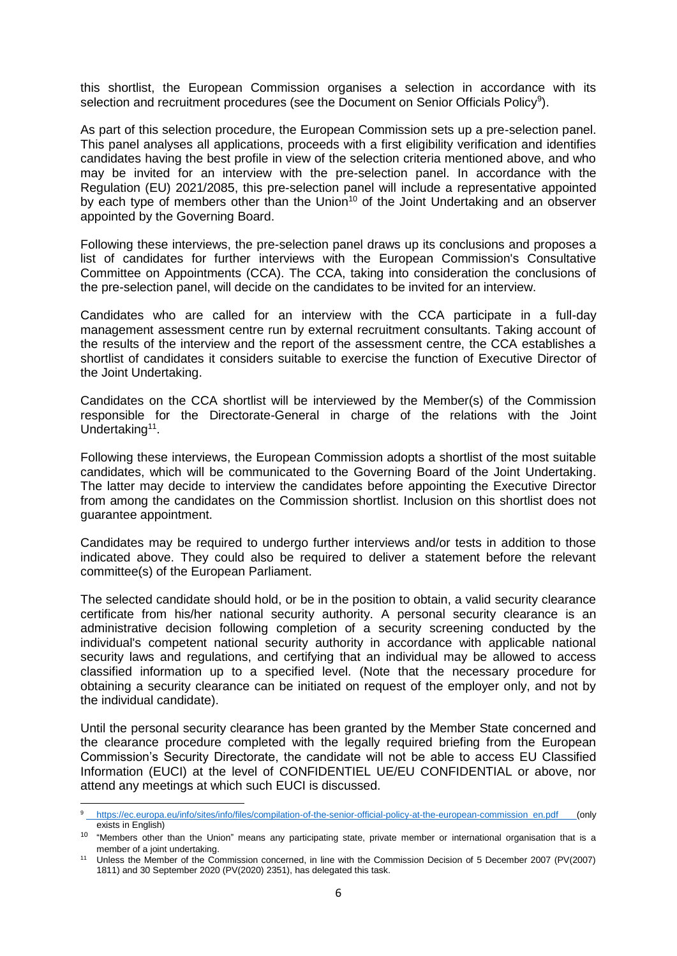this shortlist, the European Commission organises a selection in accordance with its selection and recruitment procedures (see the Document on Senior Officials Policy<sup>9</sup>).

As part of this selection procedure, the European Commission sets up a pre-selection panel. This panel analyses all applications, proceeds with a first eligibility verification and identifies candidates having the best profile in view of the selection criteria mentioned above, and who may be invited for an interview with the pre-selection panel. In accordance with the Regulation (EU) 2021/2085, this pre-selection panel will include a representative appointed by each type of members other than the Union<sup>10</sup> of the Joint Undertaking and an observer appointed by the Governing Board.

Following these interviews, the pre-selection panel draws up its conclusions and proposes a list of candidates for further interviews with the European Commission's Consultative Committee on Appointments (CCA). The CCA, taking into consideration the conclusions of the pre-selection panel, will decide on the candidates to be invited for an interview.

Candidates who are called for an interview with the CCA participate in a full-day management assessment centre run by external recruitment consultants. Taking account of the results of the interview and the report of the assessment centre, the CCA establishes a shortlist of candidates it considers suitable to exercise the function of Executive Director of the Joint Undertaking.

Candidates on the CCA shortlist will be interviewed by the Member(s) of the Commission responsible for the Directorate-General in charge of the relations with the Joint Undertaking<sup>11</sup>.

Following these interviews, the European Commission adopts a shortlist of the most suitable candidates, which will be communicated to the Governing Board of the Joint Undertaking. The latter may decide to interview the candidates before appointing the Executive Director from among the candidates on the Commission shortlist. Inclusion on this shortlist does not guarantee appointment.

Candidates may be required to undergo further interviews and/or tests in addition to those indicated above. They could also be required to deliver a statement before the relevant committee(s) of the European Parliament.

The selected candidate should hold, or be in the position to obtain, a valid security clearance certificate from his/her national security authority. A personal security clearance is an administrative decision following completion of a security screening conducted by the individual's competent national security authority in accordance with applicable national security laws and regulations, and certifying that an individual may be allowed to access classified information up to a specified level. (Note that the necessary procedure for obtaining a security clearance can be initiated on request of the employer only, and not by the individual candidate).

Until the personal security clearance has been granted by the Member State concerned and the clearance procedure completed with the legally required briefing from the European Commission's Security Directorate, the candidate will not be able to access EU Classified Information (EUCI) at the level of CONFIDENTIEL UE/EU CONFIDENTIAL or above, nor attend any meetings at which such EUCI is discussed.

1

[https://ec.europa.eu/info/sites/info/files/compilation-of-the-senior-official-policy-at-the-european-commission\\_en.pdf](https://ec.europa.eu/info/sites/info/files/compilation-of-the-senior-official-policy-at-the-european-commission_en.pdf) (only exists in English)

<sup>&</sup>lt;sup>10</sup> "Members other than the Union" means any participating state, private member or international organisation that is a member of a joint undertaking.

Unless the Member of the Commission concerned, in line with the Commission Decision of 5 December 2007 (PV(2007) 1811) and 30 September 2020 (PV(2020) 2351), has delegated this task.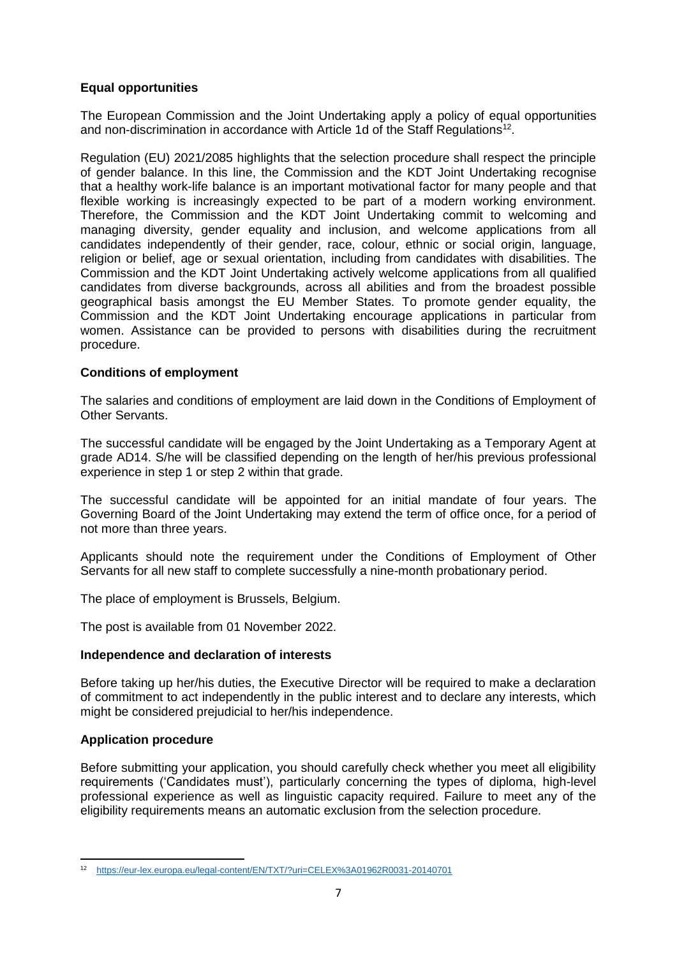## **Equal opportunities**

The European Commission and the Joint Undertaking apply a policy of equal opportunities and non-discrimination in accordance with Article 1d of the Staff Regulations<sup>12</sup>.

Regulation (EU) 2021/2085 highlights that the selection procedure shall respect the principle of gender balance. In this line, the Commission and the KDT Joint Undertaking recognise that a healthy work-life balance is an important motivational factor for many people and that flexible working is increasingly expected to be part of a modern working environment. Therefore, the Commission and the KDT Joint Undertaking commit to welcoming and managing diversity, gender equality and inclusion, and welcome applications from all candidates independently of their gender, race, colour, ethnic or social origin, language, religion or belief, age or sexual orientation, including from candidates with disabilities. The Commission and the KDT Joint Undertaking actively welcome applications from all qualified candidates from diverse backgrounds, across all abilities and from the broadest possible geographical basis amongst the EU Member States. To promote gender equality, the Commission and the KDT Joint Undertaking encourage applications in particular from women. Assistance can be provided to persons with disabilities during the recruitment procedure.

### **Conditions of employment**

The salaries and conditions of employment are laid down in the Conditions of Employment of Other Servants.

The successful candidate will be engaged by the Joint Undertaking as a Temporary Agent at grade AD14. S/he will be classified depending on the length of her/his previous professional experience in step 1 or step 2 within that grade.

The successful candidate will be appointed for an initial mandate of four years. The Governing Board of the Joint Undertaking may extend the term of office once, for a period of not more than three years.

Applicants should note the requirement under the Conditions of Employment of Other Servants for all new staff to complete successfully a nine-month probationary period.

The place of employment is Brussels, Belgium.

The post is available from 01 November 2022.

### **Independence and declaration of interests**

Before taking up her/his duties, the Executive Director will be required to make a declaration of commitment to act independently in the public interest and to declare any interests, which might be considered prejudicial to her/his independence.

### **Application procedure**

Before submitting your application, you should carefully check whether you meet all eligibility requirements ('Candidates must'), particularly concerning the types of diploma, high-level professional experience as well as linguistic capacity required. Failure to meet any of the eligibility requirements means an automatic exclusion from the selection procedure.

<sup>1</sup> <sup>12</sup> <https://eur-lex.europa.eu/legal-content/EN/TXT/?uri=CELEX%3A01962R0031-20140701>